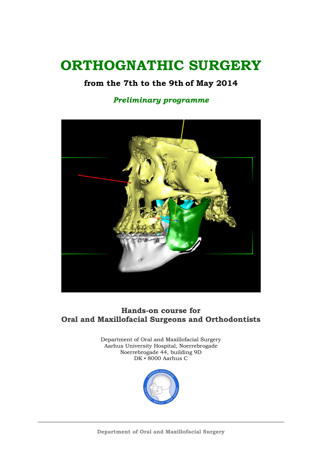# ORTHOGNATHIC SURGERY

## from the 7th to the 9th of May 2014

## Preliminary programme



## Hands-on course for Oral and Maxillofacial Surgeons and Orthodontists

Department of Oral and Maxillofacial Surgery Aarhus University Hospital, Noerrebrogade Noerrebrogade 44, building 9D DK ▪ 8000 Aarhus C

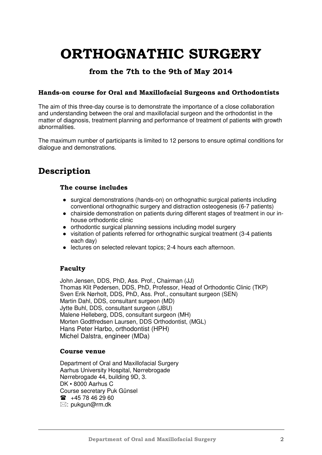# ORTHOGNATHIC SURGERY

## from the 7th to the 9th of May 2014

## Hands-on course for Oral and Maxillofacial Surgeons and Orthodontists

The aim of this three-day course is to demonstrate the importance of a close collaboration and understanding between the oral and maxillofacial surgeon and the orthodontist in the matter of diagnosis, treatment planning and performance of treatment of patients with growth abnormalities.

The maximum number of participants is limited to 12 persons to ensure optimal conditions for dialogue and demonstrations.

## Description

## The course includes

- surgical demonstrations (hands-on) on orthognathic surgical patients including conventional orthognathic surgery and distraction osteogenesis (6-7 patients)
- chairside demonstration on patients during different stages of treatment in our inhouse orthodontic clinic
- orthodontic surgical planning sessions including model surgery
- visitation of patients referred for orthognathic surgical treatment (3-4 patients each day)
- lectures on selected relevant topics; 2-4 hours each afternoon.

## Faculty

John Jensen, DDS, PhD, Ass. Prof., Chairman (JJ) Thomas Klit Pedersen, DDS, PhD, Professor, Head of Orthodontic Clinic (TKP) Sven Erik Nørholt, DDS, PhD, Ass. Prof., consultant surgeon (SEN) Martin Dahl, DDS, consultant surgeon (MD) Jytte Buhl, DDS, consultant surgeon (JBU) Malene Helleberg, DDS, consultant surgeon (MH) Morten Godtfredsen Laursen, DDS Orthodontist, (MGL) Hans Peter Harbo, orthodontist (HPH) Michel Dalstra, engineer (MDa)

## Course venue

Department of Oral and Maxillofacial Surgery Aarhus University Hospital, Nørrebrogade Nørrebrogade 44, building 9D, 3. DK ▪ 8000 Aarhus C Course secretary Puk Günsel  $\textbf{m}$  +45 78 46 29 60 ⊠: pukgun@rm.dk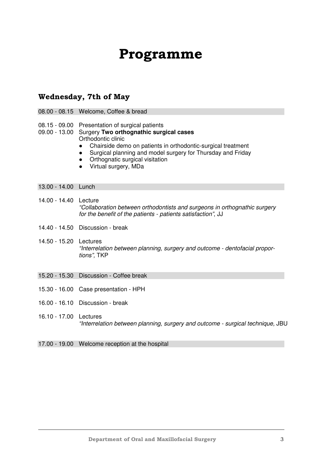## Programme

## Wednesday, 7th of May

- 08.00 08.15 Welcome, Coffee & bread
- 08.15 09.00 Presentation of surgical patients

#### 09.00 - 13.00 Surgery **Two orthognathic surgical cases**  Orthodontic clinic

- Chairside demo on patients in orthodontic-surgical treatment
- Surgical planning and model surgery for Thursday and Friday
- Orthognatic surgical visitation
- Virtual surgery, MDa

#### 13.00 - 14.00 Lunch

- 14.00 14.40 Lecture "Collaboration between orthodontists and surgeons in orthognathic surgery for the benefit of the patients - patients satisfaction", JJ
- 14.40 14.50 Discussion break
- 14.50 15.20 Lectures "Interrelation between planning, surgery and outcome - dentofacial proportions", TKP
- 15.20 15.30 Discussion Coffee break
- 15.30 16.00 Case presentation HPH
- 16.00 16.10 Discussion break
- 16.10 17.00 Lectures "Interrelation between planning, surgery and outcome - surgical technique, JBU

17.00 - 19.00 Welcome reception at the hospital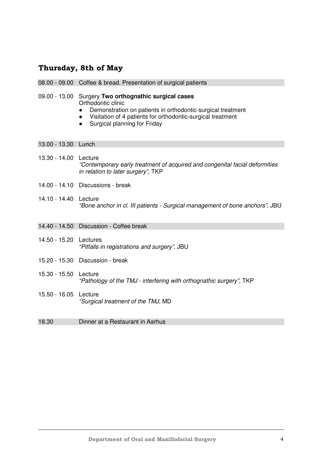## Thursday, 8th of May

|                        | 08.00 - 09.00 Coffee & bread. Presentation of surgical patients                                                                                                                                                                          |
|------------------------|------------------------------------------------------------------------------------------------------------------------------------------------------------------------------------------------------------------------------------------|
| 09.00 - 13.00          | Surgery Two orthognathic surgical cases<br>Orthodontic clinic<br>Demonstration on patients in orthodontic-surgical treatment<br>Visitation of 4 patients for orthodontic-surgical treatment<br>Surgical planning for Friday<br>$\bullet$ |
| 13.00 - 13.30 Lunch    |                                                                                                                                                                                                                                          |
| 13.30 - 14.00 Lecture  | "Contemporary early treatment of acquired and congenital facial deformities<br>in relation to later surgery", TKP                                                                                                                        |
|                        | 14.00 - 14.10 Discussions - break                                                                                                                                                                                                        |
| 14.10 - 14.40 Lecture  | "Bone anchor in cl. III patients - Surgical management of bone anchors", JBU                                                                                                                                                             |
|                        | 14.40 - 14.50 Discussion - Coffee break                                                                                                                                                                                                  |
| 14.50 - 15.20 Lectures | "Pitfalls in registrations and surgery", JBU                                                                                                                                                                                             |
|                        | 15.20 - 15.30 Discussion - break                                                                                                                                                                                                         |
| 15.30 - 15.50          | Lecture<br>"Pathology of the TMJ - interfering with orthognathic surgery", TKP                                                                                                                                                           |
| 15.50 - 16.05          | Lecture<br>"Surgical treatment of the TMJ, MD                                                                                                                                                                                            |
| 18.30                  | Dinner at a Restaurant in Aarhus                                                                                                                                                                                                         |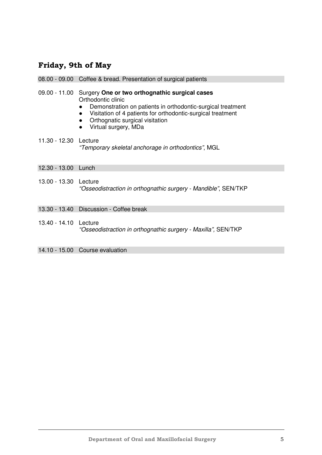## Friday, 9th of May

| 08.00 - 09.00 Coffee & bread. Presentation of surgical patients |
|-----------------------------------------------------------------|
|-----------------------------------------------------------------|

- 09.00 11.00 Surgery **One or two orthognathic surgical cases**  Orthodontic clinic
	- Demonstration on patients in orthodontic-surgical treatment
	- Visitation of 4 patients for orthodontic-surgical treatment
	- Orthognatic surgical visitation
	- Virtual surgery, MDa
- 11.30 12.30 Lecture "Temporary skeletal anchorage in orthodontics", MGL
- 12.30 13.00 Lunch
- 13.00 13.30 Lecture "Osseodistraction in orthognathic surgery - Mandible", SEN/TKP
- 13.30 13.40 Discussion Coffee break
- 13.40 14.10 Lecture "Osseodistraction in orthognathic surgery - Maxilla", SEN/TKP
- 14.10 15.00 Course evaluation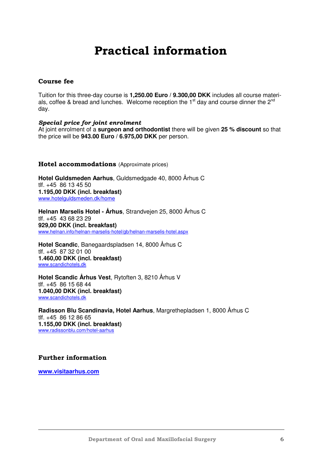## Practical information

## Course fee

Tuition for this three-day course is **1,250.00 Euro / 9.300,00 DKK** includes all course materials, coffee & bread and lunches. Welcome reception the  $1<sup>st</sup>$  day and course dinner the  $2<sup>nd</sup>$ day.

#### Special price for joint enrolment

At joint enrolment of a **surgeon and orthodontist** there will be given **25 % discount** so that the price will be **943.00 Euro / 6.975,00 DKK** per person.

#### Hotel accommodations (Approximate prices)

**Hotel Guldsmeden Aarhus**, Guldsmedgade 40, 8000 Århus C tlf. +45 86 13 45 50 **1.195,00 DKK (incl. breakfast)**  www.hotelguldsmeden.dk/home

**Helnan Marselis Hotel - Århus**, Strandvejen 25, 8000 Århus C tlf. +45 43 68 23 29 **929,00 DKK (incl. breakfast)** www.helnan.info/helnan-marselis-hotel/gb/helnan-marselis-hotel.aspx

**Hotel Scandic**, Banegaardspladsen 14, 8000 Århus C tlf. +45 87 32 01 00 **1.460,00 DKK (incl. breakfast)**  www.scandichotels.dk

**Hotel Scandic Århus Vest**, Rytoften 3, 8210 Århus V tlf. +45 86 15 68 44 **1.040,00 DKK (incl. breakfast)**  www.scandichotels.dk

**Radisson Blu Scandinavia, Hotel Aarhus**, Margrethepladsen 1, 8000 Århus C tlf. +45 86 12 86 65 **1.155,00 DKK (incl. breakfast)**  www.radissonblu.com/hotel-aarhus

### Further information

**www.visitaarhus.com**